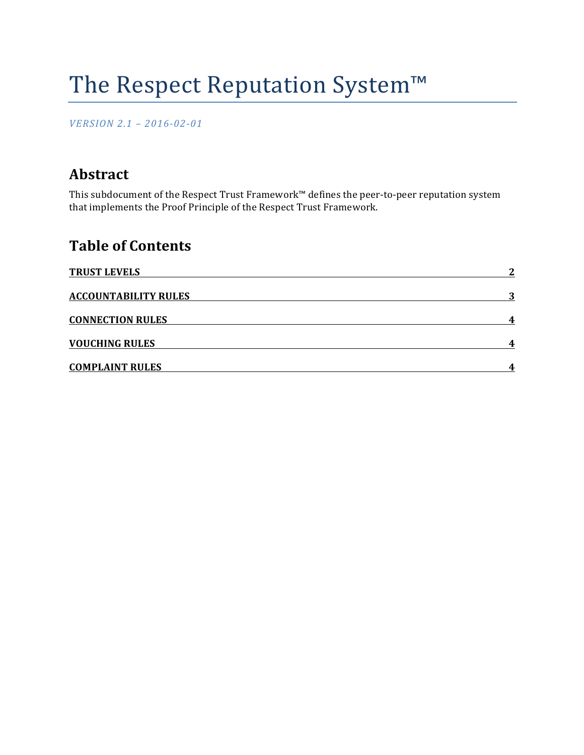# The Respect Reputation System™

*VERSION 2.1 – 2016-02-01*

## **Abstract**

This subdocument of the Respect Trust Framework™ defines the peer-to-peer reputation system that implements the Proof Principle of the Respect Trust Framework.

# **Table of Contents**

| <b>TRUST LEVELS</b>         | - 7 |
|-----------------------------|-----|
| <b>ACCOUNTABILITY RULES</b> | 2   |
| <b>CONNECTION RULES</b>     |     |
| <b>VOUCHING RULES</b>       |     |
| <b>COMPLAINT RULES</b>      |     |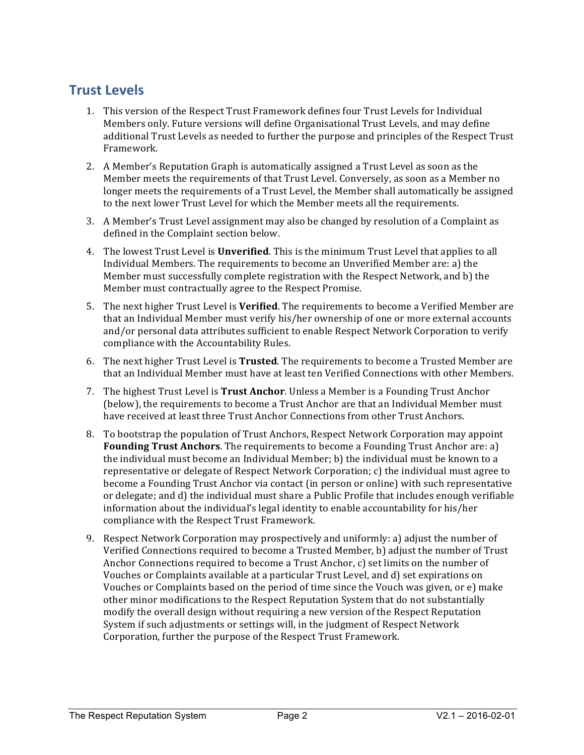## **Trust Levels**

- 1. This version of the Respect Trust Framework defines four Trust Levels for Individual Members only. Future versions will define Organisational Trust Levels, and may define additional Trust Levels as needed to further the purpose and principles of the Respect Trust Framework.
- 2. A Member's Reputation Graph is automatically assigned a Trust Level as soon as the Member meets the requirements of that Trust Level. Conversely, as soon as a Member no longer meets the requirements of a Trust Level, the Member shall automatically be assigned to the next lower Trust Level for which the Member meets all the requirements.
- 3. A Member's Trust Level assignment may also be changed by resolution of a Complaint as defined in the Complaint section below.
- 4. The lowest Trust Level is **Unverified**. This is the minimum Trust Level that applies to all Individual Members. The requirements to become an Unverified Member are: a) the Member must successfully complete registration with the Respect Network, and b) the Member must contractually agree to the Respect Promise.
- 5. The next higher Trust Level is **Verified**. The requirements to become a Verified Member are that an Individual Member must verify his/her ownership of one or more external accounts and/or personal data attributes sufficient to enable Respect Network Corporation to verify compliance with the Accountability Rules.
- 6. The next higher Trust Level is Trusted. The requirements to become a Trusted Member are that an Individual Member must have at least ten Verified Connections with other Members.
- 7. The highest Trust Level is **Trust Anchor**. Unless a Member is a Founding Trust Anchor (below), the requirements to become a Trust Anchor are that an Individual Member must have received at least three Trust Anchor Connections from other Trust Anchors.
- 8. To bootstrap the population of Trust Anchors, Respect Network Corporation may appoint **Founding Trust Anchors**. The requirements to become a Founding Trust Anchor are: a) the individual must become an Individual Member; b) the individual must be known to a representative or delegate of Respect Network Corporation;  $c$ ) the individual must agree to become a Founding Trust Anchor via contact (in person or online) with such representative or delegate; and d) the individual must share a Public Profile that includes enough verifiable information about the individual's legal identity to enable accountability for his/her compliance with the Respect Trust Framework.
- 9. Respect Network Corporation may prospectively and uniformly: a) adjust the number of Verified Connections required to become a Trusted Member, b) adjust the number of Trust Anchor Connections required to become a Trust Anchor, c) set limits on the number of Vouches or Complaints available at a particular Trust Level, and d) set expirations on Vouches or Complaints based on the period of time since the Vouch was given, or e) make other minor modifications to the Respect Reputation System that do not substantially modify the overall design without requiring a new version of the Respect Reputation System if such adjustments or settings will, in the judgment of Respect Network Corporation, further the purpose of the Respect Trust Framework.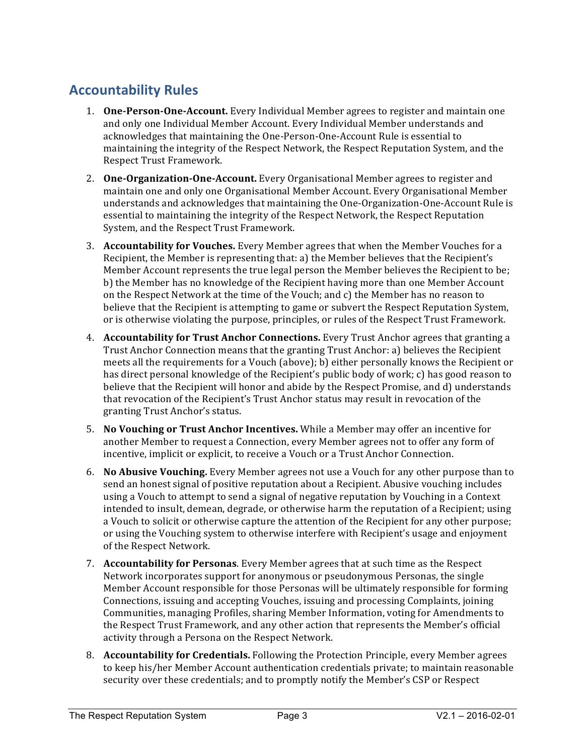# **Accountability Rules**

- 1. **One-Person-One-Account.** Every Individual Member agrees to register and maintain one and only one Individual Member Account. Every Individual Member understands and acknowledges that maintaining the One-Person-One-Account Rule is essential to maintaining the integrity of the Respect Network, the Respect Reputation System, and the Respect Trust Framework.
- 2. **One-Organization-One-Account.** Every Organisational Member agrees to register and maintain one and only one Organisational Member Account. Every Organisational Member understands and acknowledges that maintaining the One-Organization-One-Account Rule is essential to maintaining the integrity of the Respect Network, the Respect Reputation System, and the Respect Trust Framework.
- 3. **Accountability for Vouches.** Every Member agrees that when the Member Vouches for a Recipient, the Member is representing that: a) the Member believes that the Recipient's Member Account represents the true legal person the Member believes the Recipient to be; b) the Member has no knowledge of the Recipient having more than one Member Account on the Respect Network at the time of the Vouch; and c) the Member has no reason to believe that the Recipient is attempting to game or subvert the Respect Reputation System, or is otherwise violating the purpose, principles, or rules of the Respect Trust Framework.
- 4. **Accountability for Trust Anchor Connections.** Every Trust Anchor agrees that granting a Trust Anchor Connection means that the granting Trust Anchor: a) believes the Recipient meets all the requirements for a Vouch (above); b) either personally knows the Recipient or has direct personal knowledge of the Recipient's public body of work; c) has good reason to believe that the Recipient will honor and abide by the Respect Promise, and d) understands that revocation of the Recipient's Trust Anchor status may result in revocation of the granting Trust Anchor's status.
- 5. **No Vouching or Trust Anchor Incentives.** While a Member may offer an incentive for another Member to request a Connection, every Member agrees not to offer any form of incentive, implicit or explicit, to receive a Vouch or a Trust Anchor Connection.
- 6. **No Abusive Vouching.** Every Member agrees not use a Vouch for any other purpose than to send an honest signal of positive reputation about a Recipient. Abusive vouching includes using a Vouch to attempt to send a signal of negative reputation by Vouching in a Context intended to insult, demean, degrade, or otherwise harm the reputation of a Recipient; using a Vouch to solicit or otherwise capture the attention of the Recipient for any other purpose; or using the Vouching system to otherwise interfere with Recipient's usage and enjoyment of the Respect Network.
- 7. **Accountability for Personas**. Every Member agrees that at such time as the Respect Network incorporates support for anonymous or pseudonymous Personas, the single Member Account responsible for those Personas will be ultimately responsible for forming Connections, issuing and accepting Vouches, issuing and processing Complaints, joining Communities, managing Profiles, sharing Member Information, voting for Amendments to the Respect Trust Framework, and any other action that represents the Member's official activity through a Persona on the Respect Network.
- 8. **Accountability for Credentials.** Following the Protection Principle, every Member agrees to keep his/her Member Account authentication credentials private; to maintain reasonable security over these credentials; and to promptly notify the Member's CSP or Respect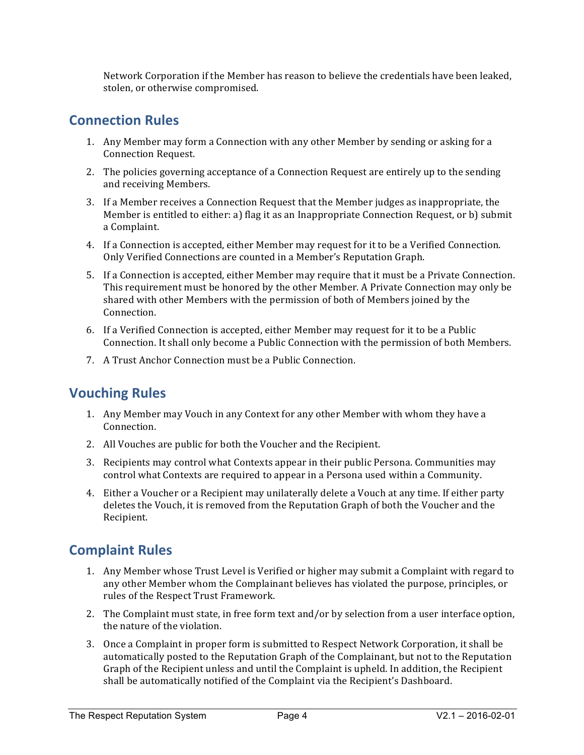Network Corporation if the Member has reason to believe the credentials have been leaked, stolen, or otherwise compromised.

#### **Connection Rules**

- 1. Any Member may form a Connection with any other Member by sending or asking for a Connection Request.
- 2. The policies governing acceptance of a Connection Request are entirely up to the sending and receiving Members.
- 3. If a Member receives a Connection Request that the Member judges as inappropriate, the Member is entitled to either: a) flag it as an Inappropriate Connection Request, or b) submit a Complaint.
- 4. If a Connection is accepted, either Member may request for it to be a Verified Connection. Only Verified Connections are counted in a Member's Reputation Graph.
- 5. If a Connection is accepted, either Member may require that it must be a Private Connection. This requirement must be honored by the other Member. A Private Connection may only be shared with other Members with the permission of both of Members joined by the Connection.
- 6. If a Verified Connection is accepted, either Member may request for it to be a Public Connection. It shall only become a Public Connection with the permission of both Members.
- 7. A Trust Anchor Connection must be a Public Connection.

## **Vouching Rules**

- 1. Any Member may Vouch in any Context for any other Member with whom they have a Connection.
- 2. All Vouches are public for both the Voucher and the Recipient.
- 3. Recipients may control what Contexts appear in their public Persona. Communities may control what Contexts are required to appear in a Persona used within a Community.
- 4. Either a Voucher or a Recipient may unilaterally delete a Vouch at any time. If either party deletes the Vouch, it is removed from the Reputation Graph of both the Voucher and the Recipient.

## **Complaint Rules**

- 1. Any Member whose Trust Level is Verified or higher may submit a Complaint with regard to any other Member whom the Complainant believes has violated the purpose, principles, or rules of the Respect Trust Framework.
- 2. The Complaint must state, in free form text and/or by selection from a user interface option, the nature of the violation.
- 3. Once a Complaint in proper form is submitted to Respect Network Corporation, it shall be automatically posted to the Reputation Graph of the Complainant, but not to the Reputation Graph of the Recipient unless and until the Complaint is upheld. In addition, the Recipient shall be automatically notified of the Complaint via the Recipient's Dashboard.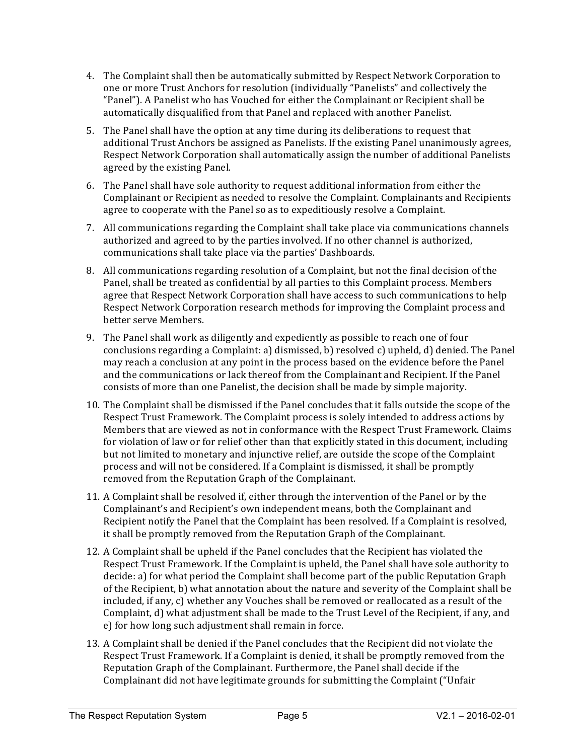- 4. The Complaint shall then be automatically submitted by Respect Network Corporation to one or more Trust Anchors for resolution (individually "Panelists" and collectively the "Panel"). A Panelist who has Vouched for either the Complainant or Recipient shall be automatically disqualified from that Panel and replaced with another Panelist.
- 5. The Panel shall have the option at any time during its deliberations to request that additional Trust Anchors be assigned as Panelists. If the existing Panel unanimously agrees, Respect Network Corporation shall automatically assign the number of additional Panelists agreed by the existing Panel.
- 6. The Panel shall have sole authority to request additional information from either the Complainant or Recipient as needed to resolve the Complaint. Complainants and Recipients agree to cooperate with the Panel so as to expeditiously resolve a Complaint.
- 7. All communications regarding the Complaint shall take place via communications channels authorized and agreed to by the parties involved. If no other channel is authorized, communications shall take place via the parties' Dashboards.
- 8. All communications regarding resolution of a Complaint, but not the final decision of the Panel, shall be treated as confidential by all parties to this Complaint process. Members agree that Respect Network Corporation shall have access to such communications to help Respect Network Corporation research methods for improving the Complaint process and better serve Members.
- 9. The Panel shall work as diligently and expediently as possible to reach one of four conclusions regarding a Complaint: a) dismissed, b) resolved c) upheld, d) denied. The Panel may reach a conclusion at any point in the process based on the evidence before the Panel and the communications or lack thereof from the Complainant and Recipient. If the Panel consists of more than one Panelist, the decision shall be made by simple majority.
- 10. The Complaint shall be dismissed if the Panel concludes that it falls outside the scope of the Respect Trust Framework. The Complaint process is solely intended to address actions by Members that are viewed as not in conformance with the Respect Trust Framework. Claims for violation of law or for relief other than that explicitly stated in this document, including but not limited to monetary and injunctive relief, are outside the scope of the Complaint process and will not be considered. If a Complaint is dismissed, it shall be promptly removed from the Reputation Graph of the Complainant.
- 11. A Complaint shall be resolved if, either through the intervention of the Panel or by the Complainant's and Recipient's own independent means, both the Complainant and Recipient notify the Panel that the Complaint has been resolved. If a Complaint is resolved, it shall be promptly removed from the Reputation Graph of the Complainant.
- 12. A Complaint shall be upheld if the Panel concludes that the Recipient has violated the Respect Trust Framework. If the Complaint is upheld, the Panel shall have sole authority to decide: a) for what period the Complaint shall become part of the public Reputation Graph of the Recipient, b) what annotation about the nature and severity of the Complaint shall be included, if any, c) whether any Vouches shall be removed or reallocated as a result of the Complaint, d) what adjustment shall be made to the Trust Level of the Recipient, if any, and e) for how long such adjustment shall remain in force.
- 13. A Complaint shall be denied if the Panel concludes that the Recipient did not violate the Respect Trust Framework. If a Complaint is denied, it shall be promptly removed from the Reputation Graph of the Complainant. Furthermore, the Panel shall decide if the Complainant did not have legitimate grounds for submitting the Complaint ("Unfair"